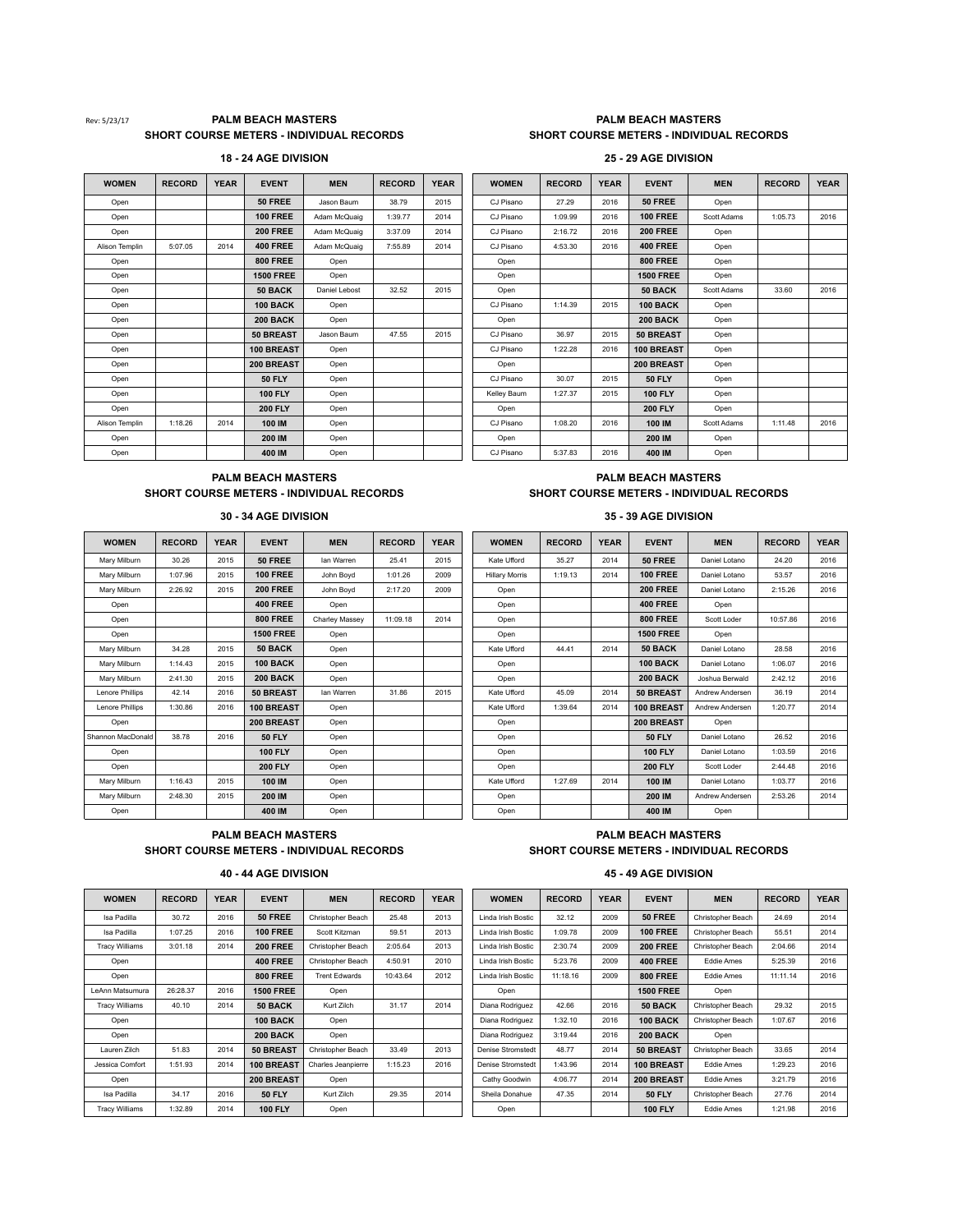## Rev: 5/23/17 **PALM BEACH MASTERS PALM BEACH MASTERS PALM BEACH MASTERS SHORT COURSE METERS - INDIVIDUAL RECORDS SHORT COURSE METERS - INDIVIDUAL RECORDS**

# **18 - 24 AGE DIVISION 25 - 29 AGE DIVISION**

| <b>WOMEN</b>   | <b>RECORD</b> | <b>YEAR</b> | <b>EVENT</b>     | <b>MEN</b>    | <b>RECORD</b> | <b>YEAR</b> | <b>WOMEN</b> | <b>RECORD</b> | <b>YEAR</b> | <b>EVENT</b>     | <b>MEN</b>  | <b>RECORD</b> | <b>YEA</b> |
|----------------|---------------|-------------|------------------|---------------|---------------|-------------|--------------|---------------|-------------|------------------|-------------|---------------|------------|
| Open           |               |             | <b>50 FREE</b>   | Jason Baum    | 38.79         | 2015        | CJ Pisano    | 27.29         | 2016        | 50 FREE          | Open        |               |            |
| Open           |               |             | <b>100 FREE</b>  | Adam McQuaig  | 1:39.77       | 2014        | CJ Pisano    | 1:09.99       | 2016        | <b>100 FREE</b>  | Scott Adams | 1:05.73       | 2016       |
| Open           |               |             | <b>200 FREE</b>  | Adam McQuaig  | 3:37.09       | 2014        | CJ Pisano    | 2:16.72       | 2016        | <b>200 FREE</b>  | Open        |               |            |
| Alison Templin | 5:07.05       | 2014        | <b>400 FREE</b>  | Adam McQuaig  | 7:55.89       | 2014        | CJ Pisano    | 4:53.30       | 2016        | <b>400 FREE</b>  | Open        |               |            |
| Open           |               |             | <b>800 FREE</b>  | Open          |               |             | Open         |               |             | <b>800 FREE</b>  | Open        |               |            |
| Open           |               |             | <b>1500 FREE</b> | Open          |               |             | Open         |               |             | <b>1500 FREE</b> | Open        |               |            |
| Open           |               |             | 50 BACK          | Daniel Lebost | 32.52         | 2015        | Open         |               |             | 50 BACK          | Scott Adams | 33.60         | 2016       |
| Open           |               |             | <b>100 BACK</b>  | Open          |               |             | CJ Pisano    | 1:14.39       | 2015        | 100 BACK         | Open        |               |            |
| Open           |               |             | <b>200 BACK</b>  | Open          |               |             | Open         |               |             | <b>200 BACK</b>  | Open        |               |            |
| Open           |               |             | 50 BREAST        | Jason Baum    | 47.55         | 2015        | CJ Pisano    | 36.97         | 2015        | 50 BREAST        | Open        |               |            |
| Open           |               |             | 100 BREAST       | Open          |               |             | CJ Pisano    | 1:22.28       | 2016        | 100 BREAST       | Open        |               |            |
| Open           |               |             | 200 BREAST       | Open          |               |             | Open         |               |             | 200 BREAST       | Open        |               |            |
| Open           |               |             | <b>50 FLY</b>    | Open          |               |             | CJ Pisano    | 30.07         | 2015        | <b>50 FLY</b>    | Open        |               |            |
| Open           |               |             | <b>100 FLY</b>   | Open          |               |             | Kellev Baum  | 1:27.37       | 2015        | <b>100 FLY</b>   | Open        |               |            |
| Open           |               |             | <b>200 FLY</b>   | Open          |               |             | Open         |               |             | <b>200 FLY</b>   | Open        |               |            |
| Alison Templin | 1:18.26       | 2014        | 100 IM           | Open          |               |             | CJ Pisano    | 1:08.20       | 2016        | 100 IM           | Scott Adams | 1:11.48       | 2016       |
| Open           |               |             | 200 IM           | Open          |               |             | Open         |               |             | 200 IM           | Open        |               |            |
| Open           |               |             | 400 IM           | Open          |               |             | CJ Pisano    | 5:37.83       | 2016        | 400 IM           | Open        |               |            |

| <b>WOMEN</b> | <b>RECORD</b> | <b>YEAR</b> | <b>EVENT</b>     | <b>MEN</b>    | <b>RECORD</b> | <b>YEAR</b> | <b>WOMEN</b> | <b>RECORD</b> | <b>YEAR</b> | <b>EVENT</b>     | <b>MEN</b>  | <b>RECORD</b> | <b>YEAR</b> |
|--------------|---------------|-------------|------------------|---------------|---------------|-------------|--------------|---------------|-------------|------------------|-------------|---------------|-------------|
| Open         |               |             | <b>50 FREE</b>   | Jason Baum    | 38.79         | 2015        | CJ Pisano    | 27.29         | 2016        | <b>50 FREE</b>   | Open        |               |             |
| Open         |               |             | <b>100 FREE</b>  | Adam McQuaig  | 1:39.77       | 2014        | CJ Pisano    | 1:09.99       | 2016        | <b>100 FREE</b>  | Scott Adams | 1:05.73       | 2016        |
| Open         |               |             | <b>200 FREE</b>  | Adam McQuaig  | 3:37.09       | 2014        | CJ Pisano    | 2:16.72       | 2016        | <b>200 FREE</b>  | Open        |               |             |
| ison Templin | 5:07.05       | 2014        | <b>400 FREE</b>  | Adam McQuaig  | 7:55.89       | 2014        | CJ Pisano    | 4:53.30       | 2016        | <b>400 FREE</b>  | Open        |               |             |
| Open         |               |             | <b>800 FREE</b>  | Open          |               |             | Open         |               |             | <b>800 FREE</b>  | Open        |               |             |
| Open         |               |             | <b>1500 FREE</b> | Open          |               |             | Open         |               |             | <b>1500 FREE</b> | Open        |               |             |
| Open         |               |             | 50 BACK          | Daniel Lebost | 32.52         | 2015        | Open         |               |             | 50 BACK          | Scott Adams | 33.60         | 2016        |
| Open         |               |             | 100 BACK         | Open          |               |             | CJ Pisano    | 1:14.39       | 2015        | 100 BACK         | Open        |               |             |
| Open         |               |             | <b>200 BACK</b>  | Open          |               |             | Open         |               |             | <b>200 BACK</b>  | Open        |               |             |
| Open         |               |             | 50 BREAST        | Jason Baum    | 47.55         | 2015        | CJ Pisano    | 36.97         | 2015        | 50 BREAST        | Open        |               |             |
| Open         |               |             | 100 BREAST       | Open          |               |             | CJ Pisano    | 1:22.28       | 2016        | 100 BREAST       | Open        |               |             |
| Open         |               |             | 200 BREAST       | Open          |               |             | Open         |               |             | 200 BREAST       | Open        |               |             |
| Open         |               |             | <b>50 FLY</b>    | Open          |               |             | CJ Pisano    | 30.07         | 2015        | <b>50 FLY</b>    | Open        |               |             |
| Open         |               |             | <b>100 FLY</b>   | Open          |               |             | Kelley Baum  | 1:27.37       | 2015        | <b>100 FLY</b>   | Open        |               |             |
| Open         |               |             | <b>200 FLY</b>   | Open          |               |             | Open         |               |             | <b>200 FLY</b>   | Open        |               |             |
| ison Templin | 1:18.26       | 2014        | 100 IM           | Open          |               |             | CJ Pisano    | 1:08.20       | 2016        | 100 IM           | Scott Adams | 1:11.48       | 2016        |
| Open         |               |             | 200 IM           | Open          |               |             | Open         |               |             | 200 IM           | Open        |               |             |
| Open         |               |             | 400 IM           | Open          |               |             | CJ Pisano    | 5:37.83       | 2016        | 400 IM           | Open        |               |             |

## **PALM BEACH MASTERS PALM BEACH MASTERS SHORT COURSE METERS - INDIVIDUAL RECORDS SHORT COURSE METERS - INDIVIDUAL RECORDS**

| <b>WOMEN</b>           | <b>RECORD</b> | <b>YEAR</b> | <b>EVENT</b>     | <b>MEN</b>     | <b>RECORD</b> | <b>YEAR</b> | <b>WOMEN</b>          | <b>RECORD</b> | <b>YEAR</b> | <b>EVENT</b>     | <b>MEN</b>      | <b>RECORD</b> | YEA  |
|------------------------|---------------|-------------|------------------|----------------|---------------|-------------|-----------------------|---------------|-------------|------------------|-----------------|---------------|------|
| Mary Milburn           | 30.26         | 2015        | 50 FREE          | Ian Warren     | 25.41         | 2015        | Kate Ufford           | 35.27         | 2014        | <b>50 FREE</b>   | Daniel Lotano   | 24.20         | 2016 |
| Mary Milburn           | 1:07.96       | 2015        | <b>100 FREE</b>  | John Boyd      | 1:01.26       | 2009        | <b>Hillary Morris</b> | 1:19.13       | 2014        | <b>100 FREE</b>  | Daniel Lotano   | 53.57         | 2016 |
| Mary Milburn           | 2:26.92       | 2015        | <b>200 FREE</b>  | John Boyd      | 2:17.20       | 2009        | Open                  |               |             | <b>200 FREE</b>  | Daniel Lotano   | 2:15.26       | 2016 |
| Open                   |               |             | <b>400 FREE</b>  | Open           |               |             | Open                  |               |             | <b>400 FREE</b>  | Open            |               |      |
| Open                   |               |             | <b>800 FREE</b>  | Charley Massey | 11:09.18      | 2014        | Open                  |               |             | <b>800 FREE</b>  | Scott Loder     | 10:57.86      | 2016 |
| Open                   |               |             | <b>1500 FREE</b> | Open           |               |             | Open                  |               |             | <b>1500 FREE</b> | Open            |               |      |
| Mary Milburn           | 34.28         | 2015        | 50 BACK          | Open           |               |             | Kate Ufford           | 44.41         | 2014        | 50 BACK          | Daniel Lotano   | 28.58         | 2016 |
| Mary Milburn           | 1:14.43       | 2015        | <b>100 BACK</b>  | Open           |               |             | Open                  |               |             | <b>100 BACK</b>  | Daniel Lotano   | 1:06.07       | 2016 |
| Mary Milburn           | 2:41.30       | 2015        | 200 BACK         | Open           |               |             | Open                  |               |             | <b>200 BACK</b>  | Joshua Berwald  | 2:42.12       | 2016 |
| <b>Lenore Phillips</b> | 42.14         | 2016        | 50 BREAST        | Ian Warren     | 31.86         | 2015        | Kate Ufford           | 45.09         | 2014        | 50 BREAST        | Andrew Andersen | 36.19         | 2014 |
| <b>Lenore Phillips</b> | 1:30.86       | 2016        | 100 BREAST       | Open           |               |             | Kate Ufford           | 1:39.64       | 2014        | 100 BREAST       | Andrew Andersen | 1:20.77       | 2014 |
| Open                   |               |             | 200 BREAST       | Open           |               |             | Open                  |               |             | 200 BREAST       | Open            |               |      |
| Shannon MacDonald      | 38.78         | 2016        | <b>50 FLY</b>    | Open           |               |             | Open                  |               |             | <b>50 FLY</b>    | Daniel Lotano   | 26.52         | 2016 |
| Open                   |               |             | <b>100 FLY</b>   | Open           |               |             | Open                  |               |             | <b>100 FLY</b>   | Daniel Lotano   | 1:03.59       | 2016 |
| Open                   |               |             | <b>200 FLY</b>   | Open           |               |             | Open                  |               |             | <b>200 FLY</b>   | Scott Loder     | 2:44.48       | 2016 |
| Mary Milburn           | 1:16.43       | 2015        | 100 IM           | Open           |               |             | Kate Ufford           | 1:27.69       | 2014        | 100 IM           | Daniel Lotano   | 1:03.77       | 2016 |
| Mary Milburn           | 2:48.30       | 2015        | 200 IM           | Open           |               |             | Open                  |               |             | 200 IM           | Andrew Andersen | 2:53.26       | 2014 |
| Open                   |               |             | 400 IM           | Open           |               |             | Open                  |               |             | 400 IM           | Open            |               |      |

## **30 - 34 AGE DIVISION 35 - 39 AGE DIVISION**

| <b>WOMEN</b>   | <b>RECORD</b> | <b>YEAR</b> | <b>EVENT</b>     | <b>MEN</b>     | <b>RECORD</b> | <b>YEAR</b> | <b>WOMEN</b>          | <b>RECORD</b> | <b>YEAR</b> | <b>EVENT</b>     | <b>MEN</b>      | <b>RECORD</b> | <b>YEAR</b> |
|----------------|---------------|-------------|------------------|----------------|---------------|-------------|-----------------------|---------------|-------------|------------------|-----------------|---------------|-------------|
| Mary Milburn   | 30.26         | 2015        | 50 FREE          | Ian Warren     | 25.41         | 2015        | Kate Ufford           | 35.27         | 2014        | 50 FREE          | Daniel Lotano   | 24.20         | 2016        |
| Mary Milburn   | 1:07.96       | 2015        | <b>100 FREE</b>  | John Boyd      | 1:01.26       | 2009        | <b>Hillary Morris</b> | 1:19.13       | 2014        | <b>100 FREE</b>  | Daniel Lotano   | 53.57         | 2016        |
| Mary Milburn   | 2:26.92       | 2015        | <b>200 FREE</b>  | John Boyd      | 2:17.20       | 2009        | Open                  |               |             | <b>200 FREE</b>  | Daniel Lotano   | 2:15.26       | 2016        |
| Open           |               |             | <b>400 FREE</b>  | Open           |               |             | Open                  |               |             | <b>400 FREE</b>  | Open            |               |             |
| Open           |               |             | <b>800 FREE</b>  | Charley Massey | 11:09.18      | 2014        | Open                  |               |             | <b>800 FREE</b>  | Scott Loder     | 10:57.86      | 2016        |
| Open           |               |             | <b>1500 FREE</b> | Open           |               |             | Open                  |               |             | <b>1500 FREE</b> | Open            |               |             |
| Mary Milburn   | 34.28         | 2015        | 50 BACK          | Open           |               |             | Kate Ufford           | 44.41         | 2014        | 50 BACK          | Daniel Lotano   | 28.58         | 2016        |
| Mary Milburn   | 1:14.43       | 2015        | 100 BACK         | Open           |               |             | Open                  |               |             | 100 BACK         | Daniel Lotano   | 1:06.07       | 2016        |
| Mary Milburn   | 2:41.30       | 2015        | <b>200 BACK</b>  | Open           |               |             | Open                  |               |             | <b>200 BACK</b>  | Joshua Berwald  | 2:42.12       | 2016        |
| enore Phillips | 42.14         | 2016        | 50 BREAST        | Ian Warren     | 31.86         | 2015        | Kate Ufford           | 45.09         | 2014        | <b>50 BREAST</b> | Andrew Andersen | 36.19         | 2014        |
| enore Phillips | 1:30.86       | 2016        | 100 BREAST       | Open           |               |             | Kate Ufford           | 1:39.64       | 2014        | 100 BREAST       | Andrew Andersen | 1:20.77       | 2014        |
| Open           |               |             | 200 BREAST       | Open           |               |             | Open                  |               |             | 200 BREAST       | Open            |               |             |
| nnon MacDonald | 38.78         | 2016        | <b>50 FLY</b>    | Open           |               |             | Open                  |               |             | <b>50 FLY</b>    | Daniel Lotano   | 26.52         | 2016        |
| Open           |               |             | <b>100 FLY</b>   | Open           |               |             | Open                  |               |             | <b>100 FLY</b>   | Daniel Lotano   | 1:03.59       | 2016        |
| Open           |               |             | <b>200 FLY</b>   | Open           |               |             | Open                  |               |             | <b>200 FLY</b>   | Scott Loder     | 2:44.48       | 2016        |
| Mary Milburn   | 1:16.43       | 2015        | 100 IM           | Open           |               |             | Kate Ufford           | 1:27.69       | 2014        | 100 IM           | Daniel Lotano   | 1:03.77       | 2016        |
| Mary Milburn   | 2:48.30       | 2015        | 200 IM           | Open           |               |             | Open                  |               |             | 200 IM           | Andrew Andersen | 2:53.26       | 2014        |
| Open           |               |             | 400 IM           | Open           |               |             | Open                  |               |             | 400 IM           | Open            |               |             |

## **PALM BEACH MASTERS PALM BEACH MASTERS SHORT COURSE METERS - INDIVIDUAL RECORDS SHORT COURSE METERS - INDIVIDUAL RECORDS**

| <b>WOMEN</b>          | <b>RECORD</b> | <b>YEAR</b> | <b>EVENT</b>      | <b>MEN</b>           | <b>RECORD</b> | <b>YEAR</b> | <b>WOMEN</b>             | <b>RECORD</b> | <b>YEAR</b> | <b>EVENT</b>     | <b>MEN</b>        | <b>RECORD</b> | <b>YEAR</b> |
|-----------------------|---------------|-------------|-------------------|----------------------|---------------|-------------|--------------------------|---------------|-------------|------------------|-------------------|---------------|-------------|
| Isa Padilla           | 30.72         | 2016        | <b>50 FREE</b>    | Christopher Beach    | 25.48         | 2013        | Linda Irish Bostic       | 32.12         | 2009        | <b>50 FREE</b>   | Christopher Beach | 24.69         | 2014        |
| Isa Padilla           | 1:07.25       | 2016        | <b>100 FREE</b>   | Scott Kitzman        | 59.51         | 2013        | Linda Irish Bostic       | 1:09.78       | 2009        | <b>100 FREE</b>  | Christopher Beach | 55.51         | 2014        |
| <b>Tracy Williams</b> | 3:01.18       | 2014        | <b>200 FREE</b>   | Christopher Beach    | 2:05.64       | 2013        | Linda Irish Bostic       | 2:30.74       | 2009        | <b>200 FREE</b>  | Christopher Beach | 2:04.66       | 2014        |
| Open                  |               |             | <b>400 FREE</b>   | Christopher Beach    | 4:50.91       | 2010        | Linda Irish Bostic       | 5:23.76       | 2009        | <b>400 FREE</b>  | <b>Eddie Ames</b> | 5:25.39       | 2016        |
| Open                  |               |             | <b>800 FREE</b>   | <b>Trent Edwards</b> | 10:43.64      | 2012        | Linda Irish Bostic       | 11:18.16      | 2009        | <b>800 FREE</b>  | Eddie Ames        | 11:11.14      | 2016        |
| LeAnn Matsumura       | 26:28.37      | 2016        | <b>1500 FREE</b>  | Open                 |               |             | Open                     |               |             | <b>1500 FREE</b> | Open              |               |             |
| <b>Tracy Williams</b> | 40.10         | 2014        | 50 BACK           | Kurt Zilch           | 31.17         | 2014        | Diana Rodriguez          | 42.66         | 2016        | 50 BACK          | Christopher Beach | 29.32         | 2015        |
| Open                  |               |             | 100 BACK          | Open                 |               |             | Diana Rodriguez          | 1:32.10       | 2016        | 100 BACK         | Christopher Beach | 1:07.67       | 2016        |
| Open                  |               |             | <b>200 BACK</b>   | Open                 |               |             | Diana Rodriguez          | 3:19.44       | 2016        | <b>200 BACK</b>  | Open              |               |             |
| Lauren Zilch          | 51.83         | 2014        | 50 BREAST         | Christopher Beach    | 33.49         | 2013        | <b>Denise Stromstedt</b> | 48.77         | 2014        | <b>50 BREAST</b> | Christopher Beach | 33.65         | 2014        |
| Jessica Comfort       | 1:51.93       | 2014        | <b>100 BREAST</b> | Charles Jeanpierre   | 1:15.23       | 2016        | Denise Stromstedt        | 1:43.96       | 2014        | 100 BREAST       | Eddie Ames        | 1:29.23       | 2016        |
| Open                  |               |             | 200 BREAST        | Open                 |               |             | Cathy Goodwin            | 4:06.77       | 2014        | 200 BREAST       | Eddie Ames        | 3:21.79       | 2016        |
| Isa Padilla           | 34.17         | 2016        | <b>50 FLY</b>     | Kurt Zilch           | 29.35         | 2014        | Sheila Donahue           | 47.35         | 2014        | <b>50 FLY</b>    | Christopher Beach | 27.76         | 2014        |
| <b>Tracy Williams</b> | 1:32.89       | 2014        | <b>100 FLY</b>    | Open                 |               |             | Open                     |               |             | <b>100 FLY</b>   | Eddie Ames        | 1:21.98       | 2016        |

# **40 - 44 AGE DIVISION 45 - 49 AGE DIVISION**

| <b>WOMEN</b>       | <b>RECORD</b> | <b>YEAR</b> | <b>EVENT</b>     | <b>MEN</b>        | <b>RECORD</b> | <b>YEAR</b> |
|--------------------|---------------|-------------|------------------|-------------------|---------------|-------------|
| Linda Irish Bostic | 32.12         | 2009        | <b>50 FREE</b>   | Christopher Beach | 24.69         | 2014        |
| Linda Irish Bostic | 1:09.78       | 2009        | <b>100 FREE</b>  | Christopher Beach | 55.51         | 2014        |
| Linda Irish Bostic | 2:30.74       | 2009        | <b>200 FREE</b>  | Christopher Beach | 2:04.66       | 2014        |
| Linda Irish Bostic | 5:23.76       | 2009        | <b>400 FREE</b>  | <b>Fddie Ames</b> | 5:25.39       | 2016        |
| Linda Irish Bostic | 11:18.16      | 2009        | <b>800 FREE</b>  | <b>Fddie Ames</b> | 11:11.14      | 2016        |
| Open               |               |             | <b>1500 FREE</b> | Open              |               |             |
| Diana Rodriguez    | 42.66         | 2016        | <b>50 BACK</b>   | Christopher Beach | 29.32         | 2015        |
| Diana Rodriguez    | 1:32.10       | 2016        | 100 BACK         | Christopher Beach | 1:07.67       | 2016        |
| Diana Rodriguez    | 3:19.44       | 2016        | <b>200 BACK</b>  | Open              |               |             |
| Denise Stromstedt  | 48.77         | 2014        | 50 BREAST        | Christopher Beach | 33.65         | 2014        |
| Denise Stromstedt  | 1:43.96       | 2014        | 100 BREAST       | <b>Fddie Ames</b> | 1:29.23       | 2016        |
| Cathy Goodwin      | 4:06.77       | 2014        | 200 BREAST       | <b>Fddie Ames</b> | 3:21.79       | 2016        |
| Sheila Donahue     | 47.35         | 2014        | <b>50 FLY</b>    | Christopher Beach | 27.76         | 2014        |
| Open               |               |             | <b>100 FLY</b>   | <b>Eddie Ames</b> | 1:21.98       | 2016        |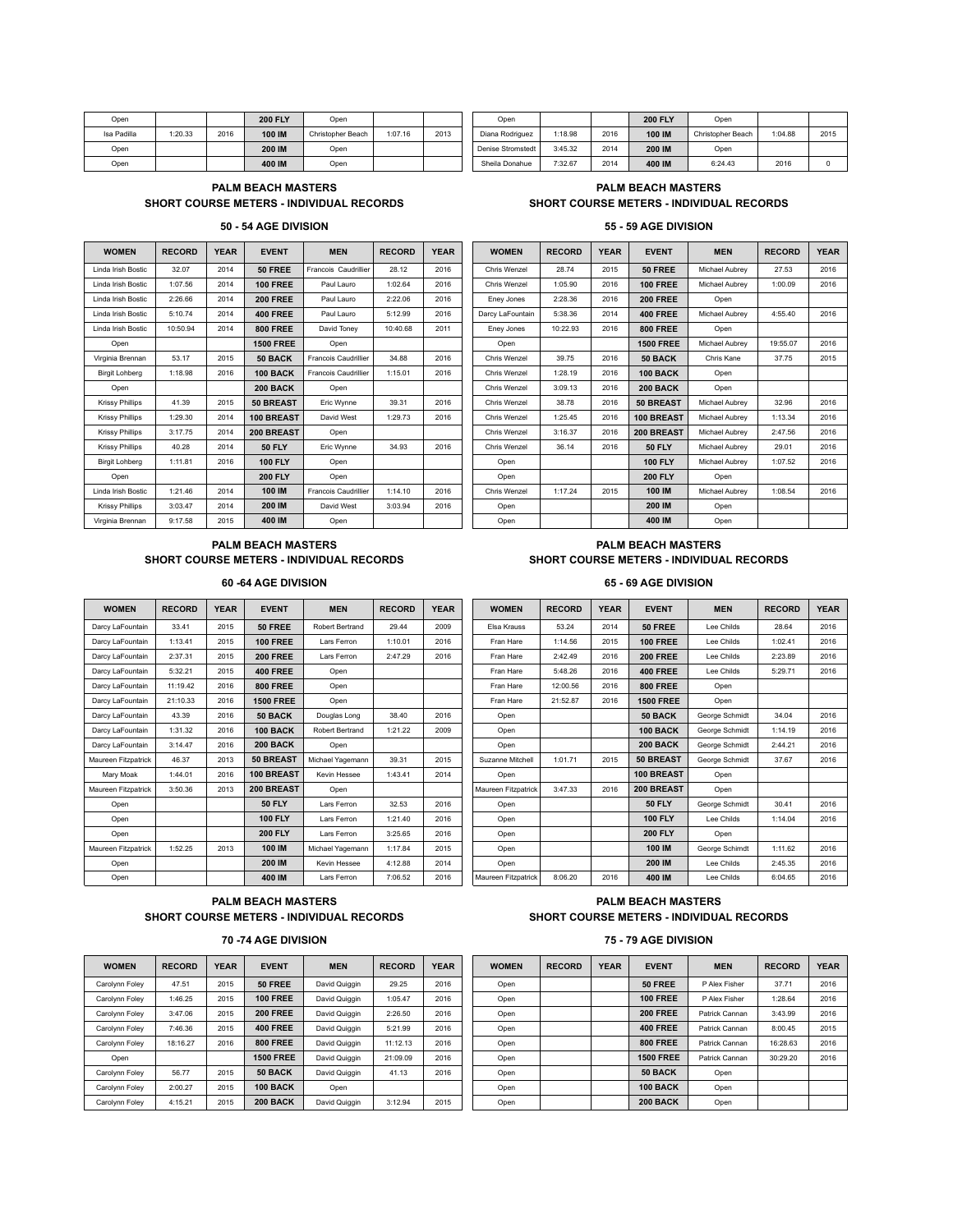| Open        |         |      | <b>200 FLY</b> | Open              |         |      | Open              |         |      | <b>200 FLY</b> | Open        |
|-------------|---------|------|----------------|-------------------|---------|------|-------------------|---------|------|----------------|-------------|
| Isa Padilla | 1:20.33 | 2016 | 100 IM         | Christopher Beach | 1:07.16 | 2013 | Diana Rodriguez   | 1:18.98 | 2016 | 100 IM         | Christopher |
| Open        |         |      | 200 IM         | Open              |         |      | Denise Stromstedt | 3:45.32 | 2014 | 200 IM         | Open        |
| Open        |         |      | 400 IM         | Open              |         |      | Sheila Donahue    | 7:32.67 | 2014 | 400 IM         | 6:24.4      |

Isa Padilla | 1:20.33 | 2016 | 10**0 IM** | Christopher Beach | 1:07.16 | 2013 | | Diana Rodriguez | 1:18.98 | 2015 | 100 **IM** | Christopher Beach | 1:04.88 | 2015 Open **200 IM** Open Denise Stromstedt 3:45.32 2014 **200 IM** Open Open **400 IM** Open Sheila Donahue 7:32.67 2014 **400 IM** 6:24.43 2016 0

# **SHORT COURSE METERS - INDIVIDUAL RECORDS SHORT COURSE METERS - INDIVIDUAL RECORDS**

# **PALM BEACH MASTERS PALM BEACH MASTERS**

## **50 - 54 AGE DIVISION 55 - 59 AGE DIVISION**

| <b>WOMEN</b>           | <b>RECORD</b> | <b>YEAR</b> | <b>EVENT</b>      | <b>MEN</b>                  | <b>RECORD</b> | <b>YEAR</b> | <b>WOMEN</b>     | <b>RECORD</b> | <b>YEAR</b> | <b>EVENT</b>     | <b>MEN</b>     | <b>RECORD</b> | <b>YEAR</b> |
|------------------------|---------------|-------------|-------------------|-----------------------------|---------------|-------------|------------------|---------------|-------------|------------------|----------------|---------------|-------------|
| Linda Irish Bostic     | 32.07         | 2014        | <b>50 FREE</b>    | Francois Caudrillier        | 28.12         | 2016        | Chris Wenzel     | 28.74         | 2015        | <b>50 FREE</b>   | Michael Aubrev | 27.53         | 2016        |
| Linda Irish Bostic     | 1:07.56       | 2014        | <b>100 FREE</b>   | Paul Lauro                  | 1:02.64       | 2016        | Chris Wenzel     | 1:05.90       | 2016        | <b>100 FREE</b>  | Michael Aubrev | 1:00.09       | 2016        |
| Linda Irish Bostic     | 2:26.66       | 2014        | <b>200 FREE</b>   | Paul Lauro                  | 2:22.06       | 2016        | Eney Jones       | 2:28.36       | 2016        | <b>200 FREE</b>  | Open           |               |             |
| Linda Irish Bostic     | 5:10.74       | 2014        | <b>400 FREE</b>   | Paul Lauro                  | 5:12.99       | 2016        | Darcy LaFountain | 5:38.36       | 2014        | <b>400 FREE</b>  | Michael Aubrev | 4:55.40       | 2016        |
| Linda Irish Bostic     | 10:50.94      | 2014        | <b>800 FREE</b>   | David Toney                 | 10:40.68      | 2011        | Eney Jones       | 10:22.93      | 2016        | <b>800 FREE</b>  | Open           |               |             |
| Open                   |               |             | <b>1500 FREE</b>  | Open                        |               |             | Open             |               |             | <b>1500 FREE</b> | Michael Aubrev | 19:55.07      | 2016        |
| Virginia Brennan       | 53.17         | 2015        | 50 BACK           | <b>Francois Caudrillier</b> | 34.88         | 2016        | Chris Wenzel     | 39.75         | 2016        | 50 BACK          | Chris Kane     | 37.75         | 2015        |
| <b>Birgit Lohberg</b>  | 1:18.98       | 2016        | <b>100 BACK</b>   | <b>Francois Caudrillier</b> | 1:15.01       | 2016        | Chris Wenzel     | 1:28.19       | 2016        | 100 BACK         | Open           |               |             |
| Open                   |               |             | <b>200 BACK</b>   | Open                        |               |             | Chris Wenzel     | 3:09.13       | 2016        | <b>200 BACK</b>  | Open           |               |             |
| <b>Krissy Phillips</b> | 41.39         | 2015        | 50 BREAST         | Eric Wynne                  | 39.31         | 2016        | Chris Wenzel     | 38.78         | 2016        | 50 BREAST        | Michael Aubrev | 32.96         | 2016        |
| <b>Krissy Phillips</b> | 1:29.30       | 2014        | <b>100 BREAST</b> | David West                  | 1:29.73       | 2016        | Chris Wenzel     | 1:25.45       | 2016        | 100 BREAST       | Michael Aubrev | 1:13.34       | 2016        |
| <b>Krissy Phillips</b> | 3:17.75       | 2014        | 200 BREAST        | Open                        |               |             | Chris Wenzel     | 3:16.37       | 2016        | 200 BREAST       | Michael Aubrev | 2:47.56       | 2016        |
| <b>Krissy Phillips</b> | 40.28         | 2014        | <b>50 FLY</b>     | Eric Wynne                  | 34.93         | 2016        | Chris Wenzel     | 36.14         | 2016        | <b>50 FLY</b>    | Michael Aubrev | 29.01         | 2016        |
| <b>Birgit Lohberg</b>  | 1:11.81       | 2016        | <b>100 FLY</b>    | Open                        |               |             | Open             |               |             | <b>100 FLY</b>   | Michael Aubrev | 1:07.52       | 2016        |
| Open                   |               |             | <b>200 FLY</b>    | Open                        |               |             | Open             |               |             | <b>200 FLY</b>   | Open           |               |             |
| Linda Irish Bostic     | 1:21.46       | 2014        | 100 IM            | <b>Francois Caudrillier</b> | 1:14.10       | 2016        | Chris Wenzel     | 1:17.24       | 2015        | 100 IM           | Michael Aubrev | 1:08.54       | 2016        |
| <b>Krissy Phillips</b> | 3:03.47       | 2014        | 200 IM            | David West                  | 3:03.94       | 2016        | Open             |               |             | 200 IM           | Open           |               |             |
| Virginia Brennan       | 9:17.58       | 2015        | 400 IM            | Open                        |               |             | Open             |               |             | 400 IM           | Open           |               |             |

| <b>WOMEN</b>           | <b>KECOKD</b> | YEAR | <b>EVENT</b>     | MEN                         | <b>KECOKD</b> | YEAR | <b>WOMEN</b>     | <b>KECOKD</b> | YEAR | <b>EVENT</b>     | MEN            | <b>KECOKD</b> | YEAR |
|------------------------|---------------|------|------------------|-----------------------------|---------------|------|------------------|---------------|------|------------------|----------------|---------------|------|
| nda Irish Bostic       | 32.07         | 2014 | 50 FREE          | Francois Caudrillier        | 28.12         | 2016 | Chris Wenzel     | 28.74         | 2015 | <b>50 FREE</b>   | Michael Aubrey | 27.53         | 2016 |
| nda Irish Bostic       | 1:07.56       | 2014 | <b>100 FREE</b>  | Paul Lauro                  | 1:02.64       | 2016 | Chris Wenzel     | 1:05.90       | 2016 | <b>100 FREE</b>  | Michael Aubrey | 1:00.09       | 2016 |
| nda Irish Bostic       | 2:26.66       | 2014 | <b>200 FREE</b>  | Paul Lauro                  | 2:22.06       | 2016 | Eney Jones       | 2:28.36       | 2016 | <b>200 FREE</b>  | Open           |               |      |
| nda Irish Bostic       | 5:10.74       | 2014 | <b>400 FREE</b>  | Paul Lauro                  | 5:12.99       | 2016 | Darcy LaFountain | 5:38.36       | 2014 | <b>400 FREE</b>  | Michael Aubrey | 4:55.40       | 2016 |
| nda Irish Bostic       | 10:50.94      | 2014 | <b>800 FREE</b>  | David Toney                 | 10:40.68      | 2011 | Eney Jones       | 10:22.93      | 2016 | <b>800 FREE</b>  | Open           |               |      |
| Open                   |               |      | <b>1500 FREE</b> | Open                        |               |      | Open             |               |      | <b>1500 FREE</b> | Michael Aubrey | 19:55.07      | 2016 |
| irginia Brennan        | 53.17         | 2015 | 50 BACK          | <b>Francois Caudrillier</b> | 34.88         | 2016 | Chris Wenzel     | 39.75         | 2016 | 50 BACK          | Chris Kane     | 37.75         | 2015 |
| Birgit Lohberg         | 1:18.98       | 2016 | <b>100 BACK</b>  | Francois Caudrillier        | 1:15.01       | 2016 | Chris Wenzel     | 1:28.19       | 2016 | 100 BACK         | Open           |               |      |
| Open                   |               |      | <b>200 BACK</b>  | Open                        |               |      | Chris Wenzel     | 3:09.13       | 2016 | <b>200 BACK</b>  | Open           |               |      |
| Krissy Phillips        | 41.39         | 2015 | 50 BREAST        | Eric Wynne                  | 39.31         | 2016 | Chris Wenzel     | 38.78         | 2016 | 50 BREAST        | Michael Aubrey | 32.96         | 2016 |
| <b>Krissy Phillips</b> | 1:29.30       | 2014 | 100 BREAST       | David West                  | 1:29.73       | 2016 | Chris Wenzel     | 1:25.45       | 2016 | 100 BREAST       | Michael Aubrey | 1:13.34       | 2016 |
| Krissy Phillips        | 3:17.75       | 2014 | 200 BREAST       | Open                        |               |      | Chris Wenzel     | 3:16.37       | 2016 | 200 BREAST       | Michael Aubrey | 2:47.56       | 2016 |
| <b>Krissy Phillips</b> | 40.28         | 2014 | <b>50 FLY</b>    | Eric Wynne                  | 34.93         | 2016 | Chris Wenzel     | 36.14         | 2016 | <b>50 FLY</b>    | Michael Aubrey | 29.01         | 2016 |
| <b>Birgit Lohberg</b>  | 1:11.81       | 2016 | <b>100 FLY</b>   | Open                        |               |      | Open             |               |      | <b>100 FLY</b>   | Michael Aubrey | 1:07.52       | 2016 |
| Open                   |               |      | <b>200 FLY</b>   | Open                        |               |      | Open             |               |      | <b>200 FLY</b>   | Open           |               |      |
| nda Irish Bostic       | 1:21.46       | 2014 | 100 IM           | <b>Francois Caudrillier</b> | 1:14.10       | 2016 | Chris Wenzel     | 1:17.24       | 2015 | 100 IM           | Michael Aubrey | 1:08.54       | 2016 |
| <b>Krissy Phillips</b> | 3:03.47       | 2014 | 200 IM           | David West                  | 3:03.94       | 2016 | Open             |               |      | 200 IM           | Open           |               |      |
| irginia Brennan        | 9:17.58       | 2015 | 400 IM           | Open                        |               |      | Open             |               |      | 400 IM           | Open           |               |      |

## **PALM BEACH MASTERS PALM BEACH MASTERS SHORT COURSE METERS - INDIVIDUAL RECORDS SHORT COURSE METERS - INDIVIDUAL RECORDS**

| <b>WOMEN</b>        | <b>RECORD</b> | <b>YEAR</b> | <b>EVENT</b>      | <b>MEN</b>       | <b>RECORD</b> | <b>YEAR</b> | <b>WOMEN</b>        | <b>RECORD</b> | <b>YEAR</b> | <b>EVENT</b>     | <b>MEN</b>     | <b>RECORD</b> | <b>YEA</b> |
|---------------------|---------------|-------------|-------------------|------------------|---------------|-------------|---------------------|---------------|-------------|------------------|----------------|---------------|------------|
| Darcy LaFountain    | 33.41         | 2015        | <b>50 FREE</b>    | Robert Bertrand  | 29.44         | 2009        | Elsa Krauss         | 53.24         | 2014        | <b>50 FREE</b>   | Lee Childs     | 28.64         | 2016       |
| Darcy LaFountain    | 1:13.41       | 2015        | <b>100 FREE</b>   | Lars Ferron      | 1:10.01       | 2016        | Fran Hare           | 1:14.56       | 2015        | <b>100 FREE</b>  | Lee Childs     | 1:02.41       | 2016       |
| Darcy LaFountain    | 2:37.31       | 2015        | <b>200 FREE</b>   | Lars Ferron      | 2:47.29       | 2016        | Fran Hare           | 2:42.49       | 2016        | <b>200 FREE</b>  | Lee Childs     | 2:23.89       | 2016       |
| Darcy LaFountain    | 5:32.21       | 2015        | <b>400 FREE</b>   | Open             |               |             | Fran Hare           | 5:48.26       | 2016        | <b>400 FREE</b>  | Lee Childs     | 5:29.71       | 2016       |
| Darcy LaFountain    | 11:19.42      | 2016        | <b>800 FREE</b>   | Open             |               |             | Fran Hare           | 12:00.56      | 2016        | <b>800 FREE</b>  | Open           |               |            |
| Darcy LaFountain    | 21:10.33      | 2016        | <b>1500 FREE</b>  | Open             |               |             | Fran Hare           | 21:52.87      | 2016        | <b>1500 FREE</b> | Open           |               |            |
| Darcy LaFountain    | 43.39         | 2016        | 50 BACK           | Douglas Long     | 38.40         | 2016        | Open                |               |             | 50 BACK          | George Schmidt | 34.04         | 2016       |
| Darcy LaFountain    | 1:31.32       | 2016        | 100 BACK          | Robert Bertrand  | 1:21.22       | 2009        | Open                |               |             | 100 BACK         | George Schmidt | 1:14.19       | 2016       |
| Darcy LaFountain    | 3:14.47       | 2016        | 200 BACK          | Open             |               |             | Open                |               |             | 200 BACK         | George Schmidt | 2:44.21       | 2016       |
| Maureen Fitzpatrick | 46.37         | 2013        | <b>50 BREAST</b>  | Michael Yagemann | 39.31         | 2015        | Suzanne Mitchell    | 1:01.71       | 2015        | 50 BREAST        | George Schmidt | 37.67         | 2016       |
| Mary Moak           | 1:44.01       | 2016        | <b>100 BREAST</b> | Kevin Hessee     | 1:43.41       | 2014        | Open                |               |             | 100 BREAST       | Open           |               |            |
| Maureen Fitzpatrick | 3:50.36       | 2013        | 200 BREAST        | Open             |               |             | Maureen Fitzpatrick | 3:47.33       | 2016        | 200 BREAST       | Open           |               |            |
| Open                |               |             | <b>50 FLY</b>     | Lars Ferron      | 32.53         | 2016        | Open                |               |             | <b>50 FLY</b>    | George Schmidt | 30.41         | 2016       |
| Open                |               |             | <b>100 FLY</b>    | Lars Ferron      | 1:21.40       | 2016        | Open                |               |             | <b>100 FLY</b>   | Lee Childs     | 1:14.04       | 2016       |
| Open                |               |             | <b>200 FLY</b>    | Lars Ferron      | 3:25.65       | 2016        | Open                |               |             | <b>200 FLY</b>   | Open           |               |            |
| Maureen Fitzpatrick | 1:52.25       | 2013        | 100 IM            | Michael Yagemann | 1:17.84       | 2015        | Open                |               |             | 100 IM           | George Schimdt | 1:11.62       | 2016       |
| Open                |               |             | 200 IM            | Kevin Hessee     | 4:12.88       | 2014        | Open                |               |             | 200 IM           | Lee Childs     | 2:45.35       | 2016       |
| Onen                |               |             | 400 IM            | Lars Ferron      | 7:06.52       | 2016        | Maureen Fitznatrick | 8:06.20       | 2016        | 400 IM           | Lee Childs     | 6:04.65       | 2016       |

## **60 -64 AGE DIVISION 65 - 69 AGE DIVISION**

| <b>WOMEN</b>    | <b>RECORD</b> | <b>YEAR</b> | <b>EVENT</b>      | <b>MEN</b>       | <b>RECORD</b> | <b>YEAR</b> | <b>WOMEN</b>        | <b>RECORD</b> | <b>YEAR</b> | <b>EVENT</b>     | <b>MEN</b>     | <b>RECORD</b> | <b>YEAR</b> |
|-----------------|---------------|-------------|-------------------|------------------|---------------|-------------|---------------------|---------------|-------------|------------------|----------------|---------------|-------------|
| cv LaFountain   | 33.41         | 2015        | <b>50 FREE</b>    | Robert Bertrand  | 29.44         | 2009        | Elsa Krauss         | 53.24         | 2014        | <b>50 FREE</b>   | Lee Childs     | 28.64         | 2016        |
| cv LaFountain   | 1:13.41       | 2015        | <b>100 FREE</b>   | Lars Ferron      | 1:10.01       | 2016        | Fran Hare           | 1:14.56       | 2015        | <b>100 FREE</b>  | Lee Childs     | 1:02.41       | 2016        |
| cy LaFountain   | 2:37.31       | 2015        | <b>200 FREE</b>   | Lars Ferron      | 2:47.29       | 2016        | Fran Hare           | 2:42.49       | 2016        | <b>200 FREE</b>  | Lee Childs     | 2:23.89       | 2016        |
| cv LaFountain   | 5:32.21       | 2015        | <b>400 FREE</b>   | Open             |               |             | Fran Hare           | 5:48.26       | 2016        | <b>400 FREE</b>  | Lee Childs     | 5:29.71       | 2016        |
| cv LaFountain   | 11:19.42      | 2016        | <b>800 FREE</b>   | Open             |               |             | Fran Hare           | 12:00.56      | 2016        | <b>800 FREE</b>  | Open           |               |             |
| cv LaFountain   | 21:10.33      | 2016        | <b>1500 FREE</b>  | Open             |               |             | Fran Hare           | 21:52.87      | 2016        | <b>1500 FREE</b> | Open           |               |             |
| cy LaFountain   | 43.39         | 2016        | 50 BACK           | Douglas Long     | 38.40         | 2016        | Open                |               |             | 50 BACK          | George Schmidt | 34.04         | 2016        |
| cy LaFountain   | 1:31.32       | 2016        | <b>100 BACK</b>   | Robert Bertrand  | 1:21.22       | 2009        | Open                |               |             | 100 BACK         | George Schmidt | 1:14.19       | 2016        |
| cv LaFountain   | 3:14.47       | 2016        | 200 BACK          | Open             |               |             | Open                |               |             | <b>200 BACK</b>  | George Schmidt | 2:44.21       | 2016        |
| een Fitzpatrick | 46.37         | 2013        | <b>50 BREAST</b>  | Michael Yagemann | 39.31         | 2015        | Suzanne Mitchell    | 1:01.71       | 2015        | <b>50 BREAST</b> | George Schmidt | 37.67         | 2016        |
| Mary Moak       | 1:44.01       | 2016        | <b>100 BREAST</b> | Kevin Hessee     | 1:43.41       | 2014        | Open                |               |             | 100 BREAST       | Open           |               |             |
| een Fitzpatrick | 3:50.36       | 2013        | 200 BREAST        | Open             |               |             | Maureen Fitzpatrick | 3:47.33       | 2016        | 200 BREAST       | Open           |               |             |
| Open            |               |             | <b>50 FLY</b>     | Lars Ferron      | 32.53         | 2016        | Open                |               |             | <b>50 FLY</b>    | George Schmidt | 30.41         | 2016        |
| Open            |               |             | <b>100 FLY</b>    | Lars Ferron      | 1:21.40       | 2016        | Open                |               |             | <b>100 FLY</b>   | Lee Childs     | 1:14.04       | 2016        |
| Open            |               |             | <b>200 FLY</b>    | Lars Ferron      | 3:25.65       | 2016        | Open                |               |             | <b>200 FLY</b>   | Open           |               |             |
| een Fitzpatrick | 1:52.25       | 2013        | 100 IM            | Michael Yagemann | 1:17.84       | 2015        | Open                |               |             | 100 IM           | George Schimdt | 1:11.62       | 2016        |
| Open            |               |             | 200 IM            | Kevin Hessee     | 4:12.88       | 2014        | Open                |               |             | 200 IM           | Lee Childs     | 2:45.35       | 2016        |
| Open            |               |             | 400 IM            | Lars Ferron      | 7:06.52       | 2016        | Maureen Fitzpatrick | 8:06.20       | 2016        | 400 IM           | Lee Childs     | 6:04.65       | 2016        |

# **SHORT COURSE METERS - INDIVIDUAL RECORDS SHORT COURSE METERS - INDIVIDUAL RECORDS**

Carolynn Foley | 47.51 | 2015 | 5**0 FREE** | David Quiggin | 29.25 | 2016 | | Open | | | | | 5**0 FREE** | PAlex Fisher | 37.71 | 2016 Carolynn Foley | 1:46.25 | 2015 | **100 FREE** | David Quiggin | 1:05.47 | 2016 | | Open | | | | | | | 1**00 FREE** | PAlex Fisher | 1:28.64 | 2016 Carolynn Foley | 3:47.06 | 2015 | 2**00 FREE** | David Quiggin | 2:26.50 | 2016 | | Open | | | | | | 2**00 FREE** | Patrick Cannan | 3:43.99 | 2016 Carolynn Foley | 7:46.36 | 2015 | 400 FREE | David Quiggin | 5:21.99 | 2016 | | Open | | | | | | | | 400 FREE | Patrick Cannan | 8:00.45 | 2015 Carolynn Foley 18:16.27 2016 **800 FREE** David Quiggin 11:12.13 2016 Open **800 FREE** Patrick Cannan 16:28.63 2016 Carolynn Foley | 56.77 | 2015 | 5**0 BACK** | David Quiggin | 41.13 | 2016 | | Open | | | | | 5**0 BACK** | Open Carolynn Foley 2:00.27 2015 **100 BACK** Open Open **100 BACK** Open Carolynn Foley 4:15.21 2015 **200 BACK** David Quiggin 3:12.94 2015 Open **200 BACK** Open

# **PALM BEACH MASTERS PALM BEACH MASTERS**

## **70 -74 AGE DIVISION 75 - 79 AGE DIVISION**

| <b>WOMEN</b>         | <b>RECORD</b> | <b>YEAR</b> | <b>EVENT</b>     | <b>MEN</b>    | <b>RECORD</b> | <b>YEAR</b> | <b>WOMEN</b> | <b>RECORD</b> | <b>YEAR</b> | <b>EVENT</b>     | <b>MEN</b>     | <b>RECORD</b> | <b>YEAR</b> |
|----------------------|---------------|-------------|------------------|---------------|---------------|-------------|--------------|---------------|-------------|------------------|----------------|---------------|-------------|
| <b>Irolynn Folev</b> | 47.51         | 2015        | <b>50 FREE</b>   | David Quiggin | 29.25         | 2016        | Open         |               |             | <b>50 FREE</b>   | P Alex Fisher  | 37.71         | 2016        |
| <b>irolynn Foley</b> | 1:46.25       | 2015        | <b>100 FREE</b>  | David Quiggin | 1:05.47       | 2016        | Open         |               |             | <b>100 FREE</b>  | P Alex Fisher  | 1:28.64       | 2016        |
| irolynn Foley        | 3:47.06       | 2015        | <b>200 FREE</b>  | David Quiggin | 2:26.50       | 2016        | Open         |               |             | <b>200 FREE</b>  | Patrick Cannan | 3:43.99       | 2016        |
| <b>irolynn Foley</b> | 7:46.36       | 2015        | <b>400 FREE</b>  | David Quiggin | 5:21.99       | 2016        | Open         |               |             | <b>400 FREE</b>  | Patrick Cannan | 8:00.45       | 2015        |
| <b>irolynn Foley</b> | 18:16.27      | 2016        | <b>800 FREE</b>  | David Quiggin | 11:12.13      | 2016        | Open         |               |             | <b>800 FREE</b>  | Patrick Cannan | 16:28.63      | 2016        |
| Open                 |               |             | <b>1500 FREE</b> | David Quiggin | 21:09.09      | 2016        | Open         |               |             | <b>1500 FREE</b> | Patrick Cannan | 30:29.20      | 2016        |
| <b>irolynn Foley</b> | 56.77         | 2015        | 50 BACK          | David Quiggin | 41.13         | 2016        | Open         |               |             | 50 BACK          | Open           |               |             |
| <b>Irolynn Folev</b> | 2:00.27       | 2015        | <b>100 BACK</b>  | Open          |               |             | Open         |               |             | 100 BACK         | Open           |               |             |
| <b>irolynn Foley</b> | 4:15.21       | 2015        | <b>200 BACK</b>  | David Quiggin | 3:12.94       | 2015        | Open         |               |             | <b>200 BACK</b>  | Open           |               |             |